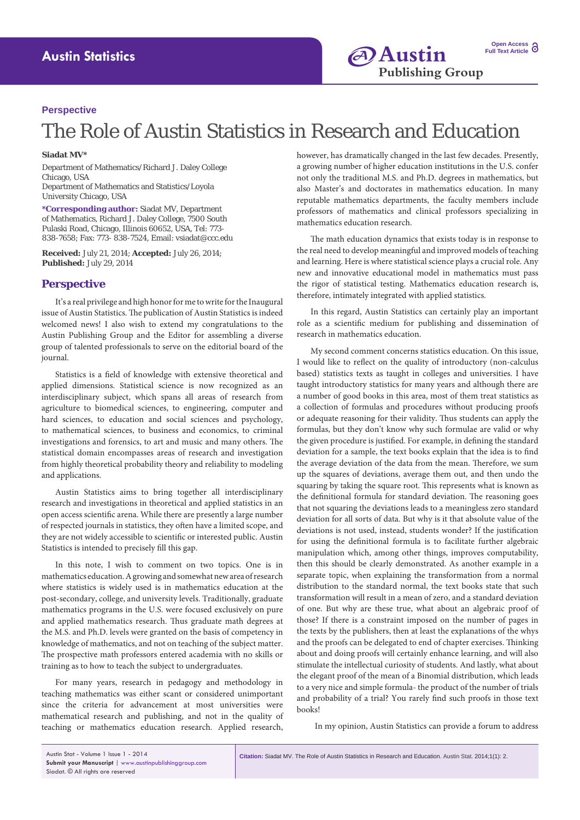## **Perspective**

## The Role of Austin Statistics in Research and Education

## **Siadat MV\***

Department of Mathematics/Richard J. Daley College Chicago, USA Department of Mathematics and Statistics/Loyola University Chicago, USA

**\*Corresponding author:** Siadat MV, Department of Mathematics, Richard J. Daley College, 7500 South Pulaski Road, Chicago, Illinois 60652, USA, Tel: 773- 838-7658; Fax: 773- 838-7524, Email: vsiadat@ccc.edu

**Received:** July 21, 2014; **Accepted:** July 26, 2014; **Published:** July 29, 2014

## **Perspective**

It's a real privilege and high honor for me to write for the Inaugural issue of Austin Statistics. The publication of Austin Statistics is indeed welcomed news! I also wish to extend my congratulations to the Austin Publishing Group and the Editor for assembling a diverse group of talented professionals to serve on the editorial board of the journal.

Statistics is a field of knowledge with extensive theoretical and applied dimensions. Statistical science is now recognized as an interdisciplinary subject, which spans all areas of research from agriculture to biomedical sciences, to engineering, computer and hard sciences, to education and social sciences and psychology, to mathematical sciences, to business and economics, to criminal investigations and forensics, to art and music and many others. The statistical domain encompasses areas of research and investigation from highly theoretical probability theory and reliability to modeling and applications.

Austin Statistics aims to bring together all interdisciplinary research and investigations in theoretical and applied statistics in an open access scientific arena. While there are presently a large number of respected journals in statistics, they often have a limited scope, and they are not widely accessible to scientific or interested public. Austin Statistics is intended to precisely fill this gap.

In this note, I wish to comment on two topics. One is in mathematics education. A growing and somewhat new area of research where statistics is widely used is in mathematics education at the post-secondary, college, and university levels. Traditionally, graduate mathematics programs in the U.S. were focused exclusively on pure and applied mathematics research. Thus graduate math degrees at the M.S. and Ph.D. levels were granted on the basis of competency in knowledge of mathematics, and not on teaching of the subject matter. The prospective math professors entered academia with no skills or training as to how to teach the subject to undergraduates.

For many years, research in pedagogy and methodology in teaching mathematics was either scant or considered unimportant since the criteria for advancement at most universities were mathematical research and publishing, and not in the quality of teaching or mathematics education research. Applied research, however, has dramatically changed in the last few decades. Presently, a growing number of higher education institutions in the U.S. confer not only the traditional M.S. and Ph.D. degrees in mathematics, but also Master's and doctorates in mathematics education. In many reputable mathematics departments, the faculty members include professors of mathematics and clinical professors specializing in mathematics education research.

The math education dynamics that exists today is in response to the real need to develop meaningful and improved models of teaching and learning. Here is where statistical science plays a crucial role. Any new and innovative educational model in mathematics must pass the rigor of statistical testing. Mathematics education research is, therefore, intimately integrated with applied statistics.

In this regard, Austin Statistics can certainly play an important role as a scientific medium for publishing and dissemination of research in mathematics education.

My second comment concerns statistics education. On this issue, I would like to reflect on the quality of introductory (non-calculus based) statistics texts as taught in colleges and universities. I have taught introductory statistics for many years and although there are a number of good books in this area, most of them treat statistics as a collection of formulas and procedures without producing proofs or adequate reasoning for their validity. Thus students can apply the formulas, but they don't know why such formulae are valid or why the given procedure is justified. For example, in defining the standard deviation for a sample, the text books explain that the idea is to find the average deviation of the data from the mean. Therefore, we sum up the squares of deviations, average them out, and then undo the squaring by taking the square root. This represents what is known as the definitional formula for standard deviation. The reasoning goes that not squaring the deviations leads to a meaningless zero standard deviation for all sorts of data. But why is it that absolute value of the deviations is not used, instead, students wonder? If the justification for using the definitional formula is to facilitate further algebraic manipulation which, among other things, improves computability, then this should be clearly demonstrated. As another example in a separate topic, when explaining the transformation from a normal distribution to the standard normal, the text books state that such transformation will result in a mean of zero, and a standard deviation of one. But why are these true, what about an algebraic proof of those? If there is a constraint imposed on the number of pages in the texts by the publishers, then at least the explanations of the whys and the proofs can be delegated to end of chapter exercises. Thinking about and doing proofs will certainly enhance learning, and will also stimulate the intellectual curiosity of students. And lastly, what about the elegant proof of the mean of a Binomial distribution, which leads to a very nice and simple formula- the product of the number of trials and probability of a trial? You rarely find such proofs in those text books!

In my opinion, Austin Statistics can provide a forum to address